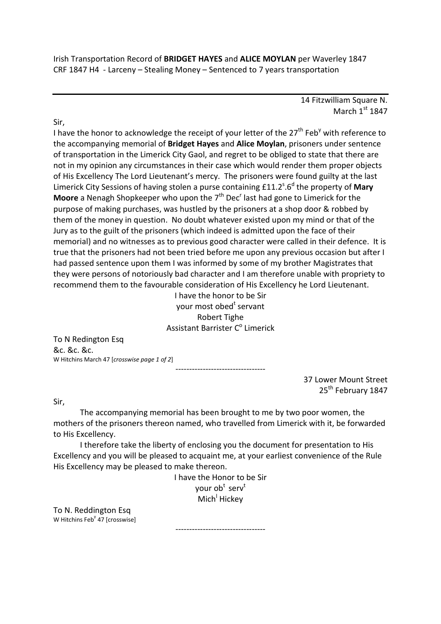Irish Transportation Record of **BRIDGET HAYES** and **ALICE MOYLAN** per Waverley 1847 CRF 1847 H4 - Larceny – Stealing Money – Sentenced to 7 years transportation

> 14 Fitzwilliam Square N. March  $1<sup>st</sup>$  1847

Sir,

I have the honor to acknowledge the receipt of your letter of the 27<sup>th</sup> Feb<sup>y</sup> with reference to the accompanying memorial of **Bridget Hayes** and **Alice Moylan**, prisoners under sentence of transportation in the Limerick City Gaol, and regret to be obliged to state that there are not in my opinion any circumstances in their case which would render them proper objects of His Excellency The Lord Lieutenant's mercy. The prisoners were found guilty at the last Limerick City Sessions of having stolen a purse containing £11.2<sup>s</sup>.6<sup>d</sup> the property of **Mary Moore** a Nenagh Shopkeeper who upon the 7<sup>th</sup> Dec<sup>r</sup> last had gone to Limerick for the purpose of making purchases, was hustled by the prisoners at a shop door & robbed by them of the money in question. No doubt whatever existed upon my mind or that of the Jury as to the guilt of the prisoners (which indeed is admitted upon the face of their memorial) and no witnesses as to previous good character were called in their defence. It is true that the prisoners had not been tried before me upon any previous occasion but after I had passed sentence upon them I was informed by some of my brother Magistrates that they were persons of notoriously bad character and I am therefore unable with propriety to recommend them to the favourable consideration of His Excellency he Lord Lieutenant.

I have the honor to be Sir your most obed<sup>t</sup> servant Robert Tighe Assistant Barrister C<sup>o</sup> Limerick

---------------------------------

To N Redington Esq &c. &c. &c. W Hitchins March 47 [*crosswise page 1 of 2*]

> 37 Lower Mount Street 25<sup>th</sup> February 1847

Sir,

 The accompanying memorial has been brought to me by two poor women, the mothers of the prisoners thereon named, who travelled from Limerick with it, be forwarded to His Excellency.

 I therefore take the liberty of enclosing you the document for presentation to His Excellency and you will be pleased to acquaint me, at your earliest convenience of the Rule His Excellency may be pleased to make thereon.

> I have the Honor to be Sir your ob<sup>t</sup> serv<sup>t</sup> Mich<sup>I</sup> Hickey

To N. Reddington Esq W Hitchins Feb<sup>y</sup> 47 [crosswise]

---------------------------------